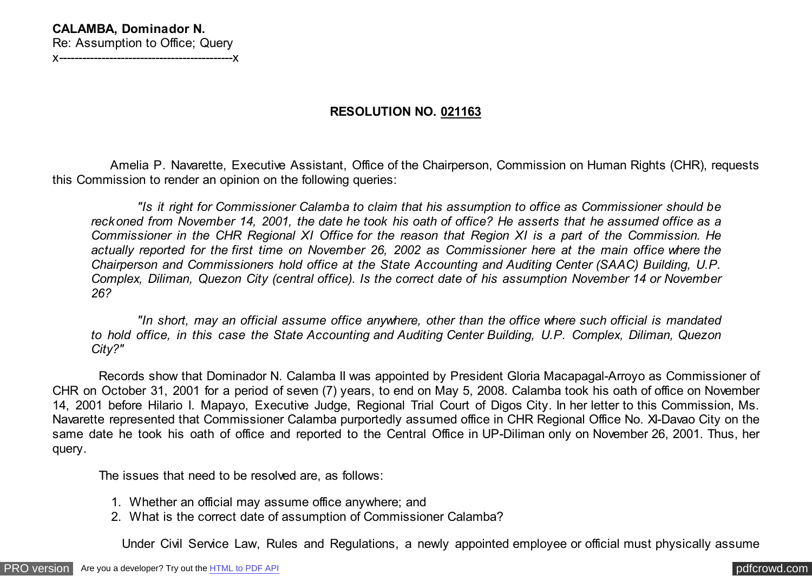## **CALAMBA, Dominador N.** Re: Assumption to Office; Query x---------------------------------------------x

## **RESOLUTION NO. 021163**

 Amelia P. Navarette, Executive Assistant, Office of the Chairperson, Commission on Human Rights (CHR), requests this Commission to render an opinion on the following queries:

 *"Is it right for Commissioner Calamba to claim that his assumption to office as Commissioner should be reckoned from November 14, 2001, the date he took his oath of office? He asserts that he assumed office as a Commissioner in the CHR Regional XI Office for the reason that Region XI is a part of the Commission. He actually reported for the first time on November 26, 2002 as Commissioner here at the main office where the Chairperson and Commissioners hold office at the State Accounting and Auditing Center (SAAC) Building, U.P. Complex, Diliman, Quezon City (central office). Is the correct date of his assumption November 14 or November 26?*

 *"In short, may an official assume office anywhere, other than the office where such official is mandated to hold office, in this case the State Accounting and Auditing Center Building, U.P. Complex, Diliman, Quezon City?"*

 Records show that Dominador N. Calamba II was appointed by President Gloria Macapagal-Arroyo as Commissioner of CHR on October 31, 2001 for a period of seven (7) years, to end on May 5, 2008. Calamba took his oath of office on November 14, 2001 before Hilario I. Mapayo, Executive Judge, Regional Trial Court of Digos City. In her letter to this Commission, Ms. Navarette represented that Commissioner Calamba purportedly assumed office in CHR Regional Office No. XI-Davao City on the same date he took his oath of office and reported to the Central Office in UP-Diliman only on November 26, 2001. Thus, her query.

The issues that need to be resolved are, as follows:

- 1. Whether an official may assume office anywhere; and
- 2. What is the correct date of assumption of Commissioner Calamba?

Under Civil Service Law, Rules and Regulations, a newly appointed employee or official must physically assume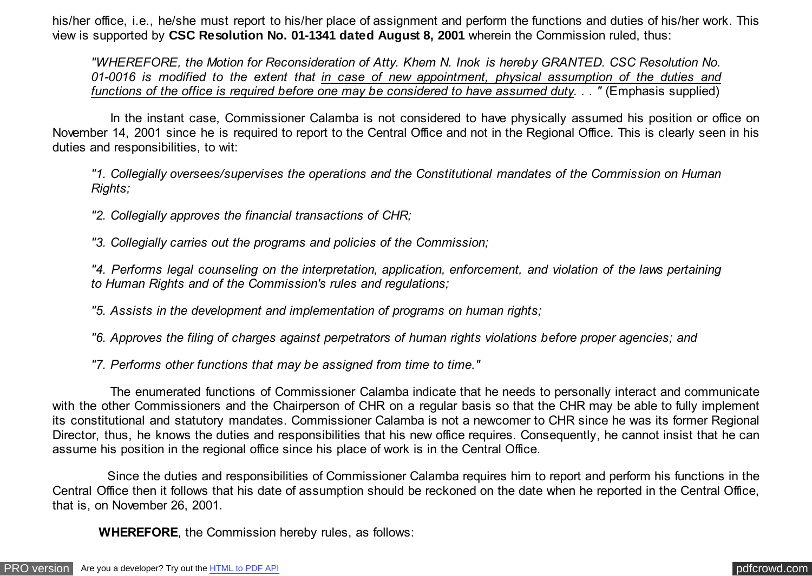his/her office, i.e., he/she must report to his/her place of assignment and perform the functions and duties of his/her work. This view is supported by **CSC Resolution No. 01-1341 dated August 8, 2001** wherein the Commission ruled, thus:

*"WHEREFORE, the Motion for Reconsideration of Atty. Khem N. Inok is hereby GRANTED. CSC Resolution No. 01-0016 is modified to the extent that in case of new appointment, physical assumption of the duties and functions of the office is required before one may be considered to have assumed duty. . . "* (Emphasis supplied)

 In the instant case, Commissioner Calamba is not considered to have physically assumed his position or office on November 14, 2001 since he is required to report to the Central Office and not in the Regional Office. This is clearly seen in his duties and responsibilities, to wit:

*"1. Collegially oversees/supervises the operations and the Constitutional mandates of the Commission on Human Rights;*

*"2. Collegially approves the financial transactions of CHR;*

*"3. Collegially carries out the programs and policies of the Commission;*

*"4. Performs legal counseling on the interpretation, application, enforcement, and violation of the laws pertaining to Human Rights and of the Commission's rules and regulations;*

*"5. Assists in the development and implementation of programs on human rights;*

*"6. Approves the filing of charges against perpetrators of human rights violations before proper agencies; and*

*"7. Performs other functions that may be assigned from time to time."*

 The enumerated functions of Commissioner Calamba indicate that he needs to personally interact and communicate with the other Commissioners and the Chairperson of CHR on a regular basis so that the CHR may be able to fully implement its constitutional and statutory mandates. Commissioner Calamba is not a newcomer to CHR since he was its former Regional Director, thus, he knows the duties and responsibilities that his new office requires. Consequently, he cannot insist that he can assume his position in the regional office since his place of work is in the Central Office.

 Since the duties and responsibilities of Commissioner Calamba requires him to report and perform his functions in the Central Office then it follows that his date of assumption should be reckoned on the date when he reported in the Central Office, that is, on November 26, 2001.

 **WHEREFORE**, the Commission hereby rules, as follows: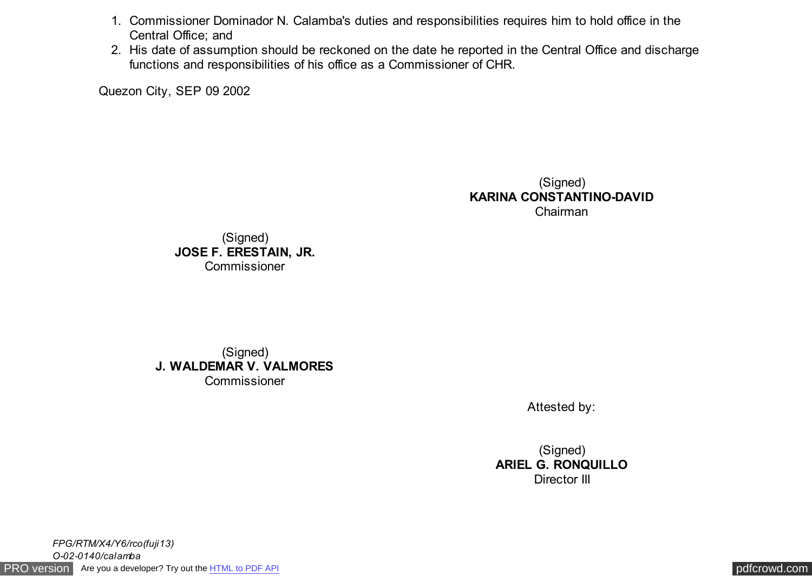- 1. Commissioner Dominador N. Calamba's duties and responsibilities requires him to hold office in the Central Office; and
- 2. His date of assumption should be reckoned on the date he reported in the Central Office and discharge functions and responsibilities of his office as a Commissioner of CHR.

Quezon City, SEP 09 2002

(Signed) **KARINA CONSTANTINO-DAVID** Chairman

(Signed) **JOSE F. ERESTAIN, JR. Commissioner** 

(Signed) **J. WALDEMAR V. VALMORES Commissioner** 

Attested by:

(Signed) **ARIEL G. RONQUILLO** Director III

[PRO version](http://pdfcrowd.com/customize/) Are you a developer? Try out th[e HTML to PDF API](http://pdfcrowd.com/html-to-pdf-api/?ref=pdf) compared to the CHTML of PDF API [pdfcrowd.com](http://pdfcrowd.com) *FPG/RTM/X4/Y6/rco(fuji13) O-02-0140/calamba*